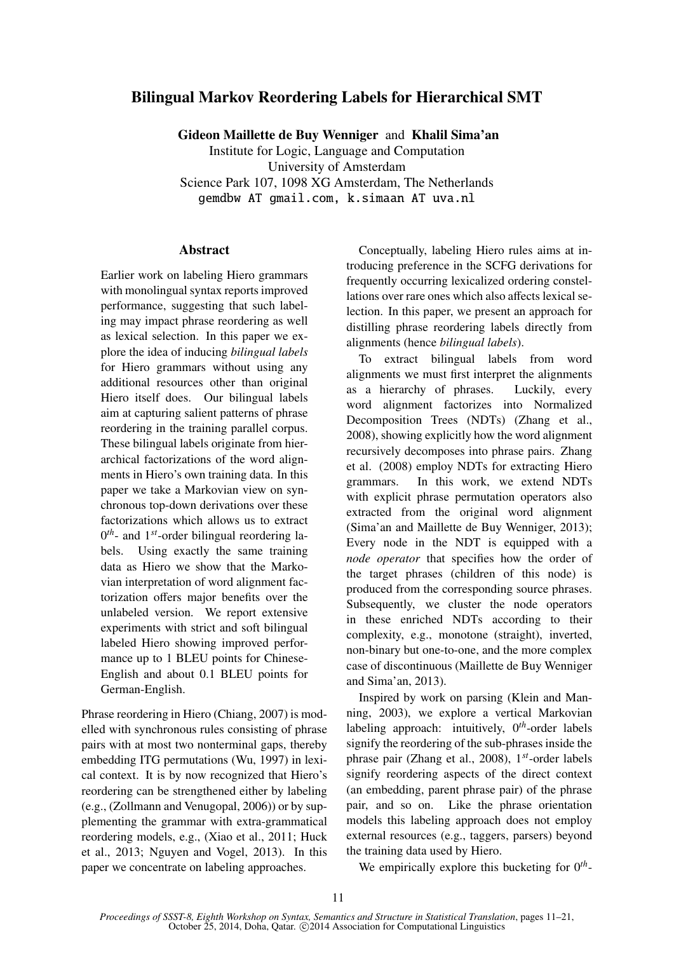# Bilingual Markov Reordering Labels for Hierarchical SMT

Gideon Maillette de Buy Wenniger and Khalil Sima'an

Institute for Logic, Language and Computation University of Amsterdam Science Park 107, 1098 XG Amsterdam, The Netherlands gemdbw AT gmail.com, k.simaan AT uva.nl

## Abstract

Earlier work on labeling Hiero grammars with monolingual syntax reports improved performance, suggesting that such labeling may impact phrase reordering as well as lexical selection. In this paper we explore the idea of inducing *bilingual labels* for Hiero grammars without using any additional resources other than original Hiero itself does. Our bilingual labels aim at capturing salient patterns of phrase reordering in the training parallel corpus. These bilingual labels originate from hierarchical factorizations of the word alignments in Hiero's own training data. In this paper we take a Markovian view on synchronous top-down derivations over these factorizations which allows us to extract 0 *th*- and 1*st*-order bilingual reordering labels. Using exactly the same training data as Hiero we show that the Markovian interpretation of word alignment factorization offers major benefits over the unlabeled version. We report extensive experiments with strict and soft bilingual labeled Hiero showing improved performance up to 1 BLEU points for Chinese-English and about 0.1 BLEU points for German-English.

Phrase reordering in Hiero (Chiang, 2007) is modelled with synchronous rules consisting of phrase pairs with at most two nonterminal gaps, thereby embedding ITG permutations (Wu, 1997) in lexical context. It is by now recognized that Hiero's reordering can be strengthened either by labeling (e.g., (Zollmann and Venugopal, 2006)) or by supplementing the grammar with extra-grammatical reordering models, e.g., (Xiao et al., 2011; Huck et al., 2013; Nguyen and Vogel, 2013). In this paper we concentrate on labeling approaches.

Conceptually, labeling Hiero rules aims at introducing preference in the SCFG derivations for frequently occurring lexicalized ordering constellations over rare ones which also affects lexical selection. In this paper, we present an approach for distilling phrase reordering labels directly from alignments (hence *bilingual labels*).

To extract bilingual labels from word alignments we must first interpret the alignments as a hierarchy of phrases. Luckily, every word alignment factorizes into Normalized Decomposition Trees (NDTs) (Zhang et al., 2008), showing explicitly how the word alignment recursively decomposes into phrase pairs. Zhang et al. (2008) employ NDTs for extracting Hiero grammars. In this work, we extend NDTs with explicit phrase permutation operators also extracted from the original word alignment (Sima'an and Maillette de Buy Wenniger, 2013); Every node in the NDT is equipped with a *node operator* that specifies how the order of the target phrases (children of this node) is produced from the corresponding source phrases. Subsequently, we cluster the node operators in these enriched NDTs according to their complexity, e.g., monotone (straight), inverted, non-binary but one-to-one, and the more complex case of discontinuous (Maillette de Buy Wenniger and Sima'an, 2013).

Inspired by work on parsing (Klein and Manning, 2003), we explore a vertical Markovian labeling approach: intuitively, 0*th*-order labels signify the reordering of the sub-phrases inside the phrase pair (Zhang et al., 2008), 1*st*-order labels signify reordering aspects of the direct context (an embedding, parent phrase pair) of the phrase pair, and so on. Like the phrase orientation models this labeling approach does not employ external resources (e.g., taggers, parsers) beyond the training data used by Hiero.

We empirically explore this bucketing for  $0^{th}$ -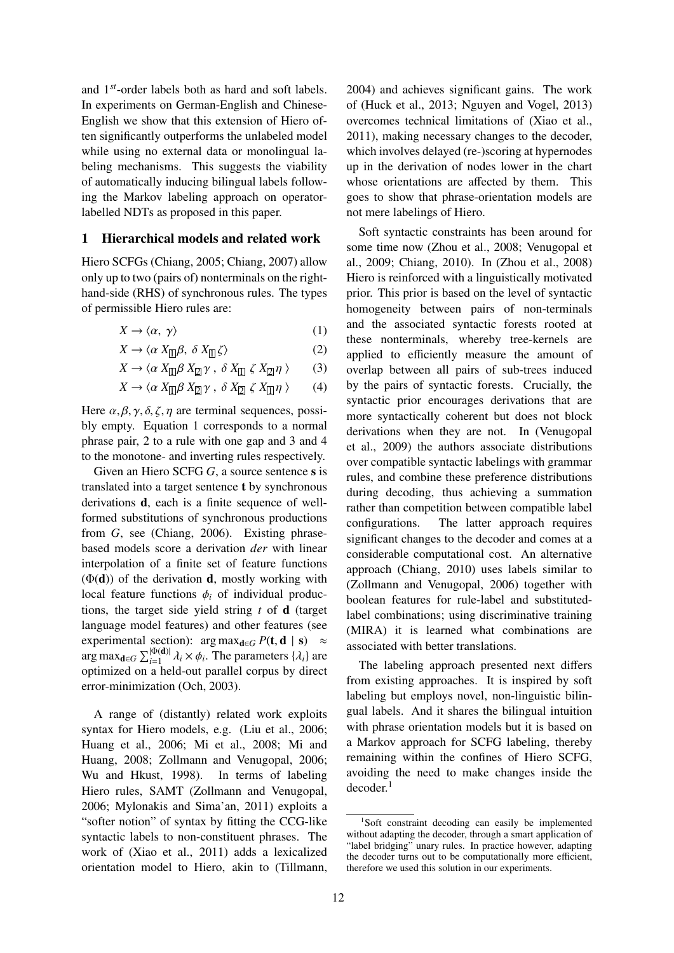and 1*st*-order labels both as hard and soft labels. In experiments on German-English and Chinese-English we show that this extension of Hiero often significantly outperforms the unlabeled model while using no external data or monolingual labeling mechanisms. This suggests the viability of automatically inducing bilingual labels following the Markov labeling approach on operatorlabelled NDTs as proposed in this paper.

## 1 Hierarchical models and related work

Hiero SCFGs (Chiang, 2005; Chiang, 2007) allow only up to two (pairs of) nonterminals on the righthand-side (RHS) of synchronous rules. The types of permissible Hiero rules are:

$$
X \to \langle \alpha, \gamma \rangle \tag{1}
$$

$$
X \to \langle \alpha \, X_{\Box} \beta, \, \delta \, X_{\Box} \zeta \rangle \tag{2}
$$

$$
X \to \langle \alpha \, X_{\Box} \beta \, X_{\Box} \gamma \, , \, \delta \, X_{\Box} \, \zeta \, X_{\Box} \eta \, \rangle \tag{3}
$$

$$
X \to \langle \alpha \, X_{\square} \beta \, X_{\square} \gamma \, , \, \delta \, X_{\square} \, \zeta \, X_{\square} \eta \, \rangle \qquad (4)
$$

Here  $\alpha, \beta, \gamma, \delta, \zeta, \eta$  are terminal sequences, possibly empty. Equation 1 corresponds to a normal phrase pair, 2 to a rule with one gap and 3 and 4 to the monotone- and inverting rules respectively.

Given an Hiero SCFG G, a source sentence s is translated into a target sentence t by synchronous derivations d, each is a finite sequence of wellformed substitutions of synchronous productions from *G*, see (Chiang, 2006). Existing phrasebased models score a derivation *der* with linear interpolation of a finite set of feature functions  $(\Phi(d))$  of the derivation **d**, mostly working with local feature functions  $\phi_i$  of individual productions, the target side yield string *t* of d (target language model features) and other features (see experimental section): arg max $_{\mathbf{d} \in G} P(\mathbf{t}, \mathbf{d} \mid \mathbf{s}) \approx$  $\arg \max_{\mathbf{d} \in G} \sum_{i=1}^{|\Phi(\mathbf{d})|} \lambda_i \times \phi_i$ . The parameters  $\{\lambda_i\}$  are optimized on a held-out parallel corpus by direct error-minimization (Och, 2003).

A range of (distantly) related work exploits syntax for Hiero models, e.g. (Liu et al., 2006; Huang et al., 2006; Mi et al., 2008; Mi and Huang, 2008; Zollmann and Venugopal, 2006; Wu and Hkust, 1998). In terms of labeling Hiero rules, SAMT (Zollmann and Venugopal, 2006; Mylonakis and Sima'an, 2011) exploits a "softer notion" of syntax by fitting the CCG-like syntactic labels to non-constituent phrases. The work of (Xiao et al., 2011) adds a lexicalized orientation model to Hiero, akin to (Tillmann, 2004) and achieves significant gains. The work of (Huck et al., 2013; Nguyen and Vogel, 2013) overcomes technical limitations of (Xiao et al., 2011), making necessary changes to the decoder, which involves delayed (re-)scoring at hypernodes up in the derivation of nodes lower in the chart whose orientations are affected by them. This goes to show that phrase-orientation models are not mere labelings of Hiero.

Soft syntactic constraints has been around for some time now (Zhou et al., 2008; Venugopal et al., 2009; Chiang, 2010). In (Zhou et al., 2008) Hiero is reinforced with a linguistically motivated prior. This prior is based on the level of syntactic homogeneity between pairs of non-terminals and the associated syntactic forests rooted at these nonterminals, whereby tree-kernels are applied to efficiently measure the amount of overlap between all pairs of sub-trees induced by the pairs of syntactic forests. Crucially, the syntactic prior encourages derivations that are more syntactically coherent but does not block derivations when they are not. In (Venugopal et al., 2009) the authors associate distributions over compatible syntactic labelings with grammar rules, and combine these preference distributions during decoding, thus achieving a summation rather than competition between compatible label configurations. The latter approach requires significant changes to the decoder and comes at a considerable computational cost. An alternative approach (Chiang, 2010) uses labels similar to (Zollmann and Venugopal, 2006) together with boolean features for rule-label and substitutedlabel combinations; using discriminative training (MIRA) it is learned what combinations are associated with better translations.

The labeling approach presented next differs from existing approaches. It is inspired by soft labeling but employs novel, non-linguistic bilingual labels. And it shares the bilingual intuition with phrase orientation models but it is based on a Markov approach for SCFG labeling, thereby remaining within the confines of Hiero SCFG, avoiding the need to make changes inside the decoder.<sup>1</sup>

<sup>&</sup>lt;sup>1</sup>Soft constraint decoding can easily be implemented without adapting the decoder, through a smart application of "label bridging" unary rules. In practice however, adapting the decoder turns out to be computationally more efficient, therefore we used this solution in our experiments.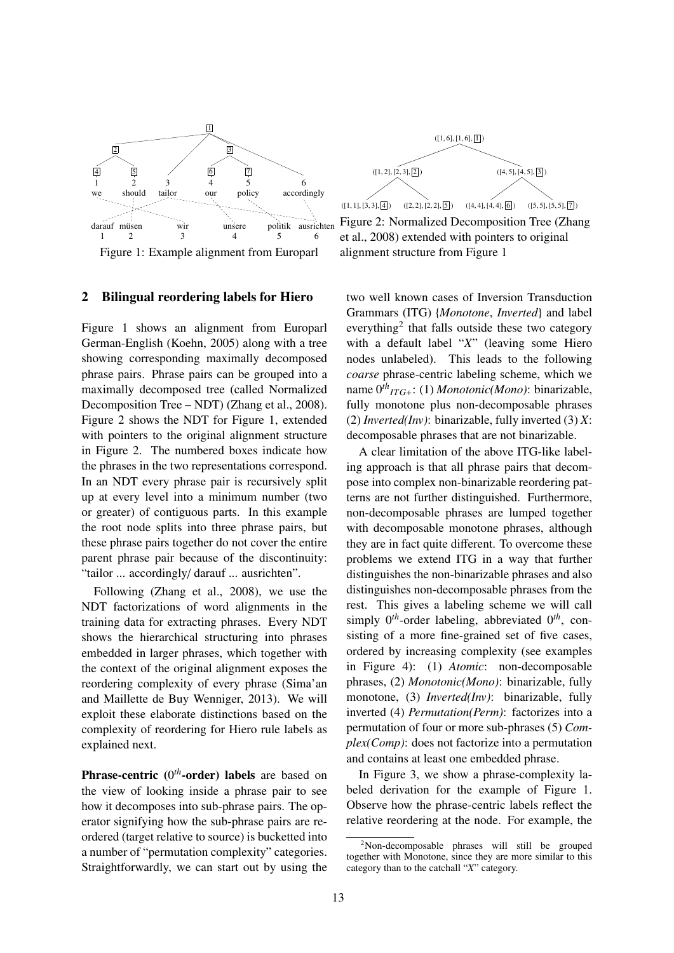

#### 2 Bilingual reordering labels for Hiero

Figure 1 shows an alignment from Europarl German-English (Koehn, 2005) along with a tree showing corresponding maximally decomposed phrase pairs. Phrase pairs can be grouped into a maximally decomposed tree (called Normalized Decomposition Tree – NDT) (Zhang et al., 2008). Figure 2 shows the NDT for Figure 1, extended with pointers to the original alignment structure in Figure 2. The numbered boxes indicate how the phrases in the two representations correspond. In an NDT every phrase pair is recursively split up at every level into a minimum number (two or greater) of contiguous parts. In this example the root node splits into three phrase pairs, but these phrase pairs together do not cover the entire parent phrase pair because of the discontinuity: "tailor ... accordingly/ darauf ... ausrichten".

Following (Zhang et al., 2008), we use the NDT factorizations of word alignments in the training data for extracting phrases. Every NDT shows the hierarchical structuring into phrases embedded in larger phrases, which together with the context of the original alignment exposes the reordering complexity of every phrase (Sima'an and Maillette de Buy Wenniger, 2013). We will exploit these elaborate distinctions based on the complexity of reordering for Hiero rule labels as explained next.

Phrase-centric (0<sup>th</sup>-order) labels are based on the view of looking inside a phrase pair to see how it decomposes into sub-phrase pairs. The operator signifying how the sub-phrase pairs are reordered (target relative to source) is bucketted into a number of "permutation complexity" categories. Straightforwardly, we can start out by using the



Figure 2: Normalized Decomposition Tree (Zhang et al., 2008) extended with pointers to original alignment structure from Figure 1

two well known cases of Inversion Transduction Grammars (ITG) {*Monotone*, *Inverted*} and label everything<sup>2</sup> that falls outside these two category with a default label "*X*" (leaving some Hiero nodes unlabeled). This leads to the following *coarse* phrase-centric labeling scheme, which we name 0*th ITG*+: (1) *Monotonic(Mono)*: binarizable, fully monotone plus non-decomposable phrases (2) *Inverted(Inv)*: binarizable, fully inverted (3) *X*: decomposable phrases that are not binarizable.

A clear limitation of the above ITG-like labeling approach is that all phrase pairs that decompose into complex non-binarizable reordering patterns are not further distinguished. Furthermore, non-decomposable phrases are lumped together with decomposable monotone phrases, although they are in fact quite different. To overcome these problems we extend ITG in a way that further distinguishes the non-binarizable phrases and also distinguishes non-decomposable phrases from the rest. This gives a labeling scheme we will call simply 0*th*-order labeling, abbreviated 0*th*, consisting of a more fine-grained set of five cases, ordered by increasing complexity (see examples in Figure 4): (1) *Atomic*: non-decomposable phrases, (2) *Monotonic(Mono)*: binarizable, fully monotone, (3) *Inverted(Inv)*: binarizable, fully inverted (4) *Permutation(Perm)*: factorizes into a permutation of four or more sub-phrases (5) *Complex(Comp)*: does not factorize into a permutation and contains at least one embedded phrase.

In Figure 3, we show a phrase-complexity labeled derivation for the example of Figure 1. Observe how the phrase-centric labels reflect the relative reordering at the node. For example, the

<sup>&</sup>lt;sup>2</sup>Non-decomposable phrases will still be grouped together with Monotone, since they are more similar to this category than to the catchall "*X*" category.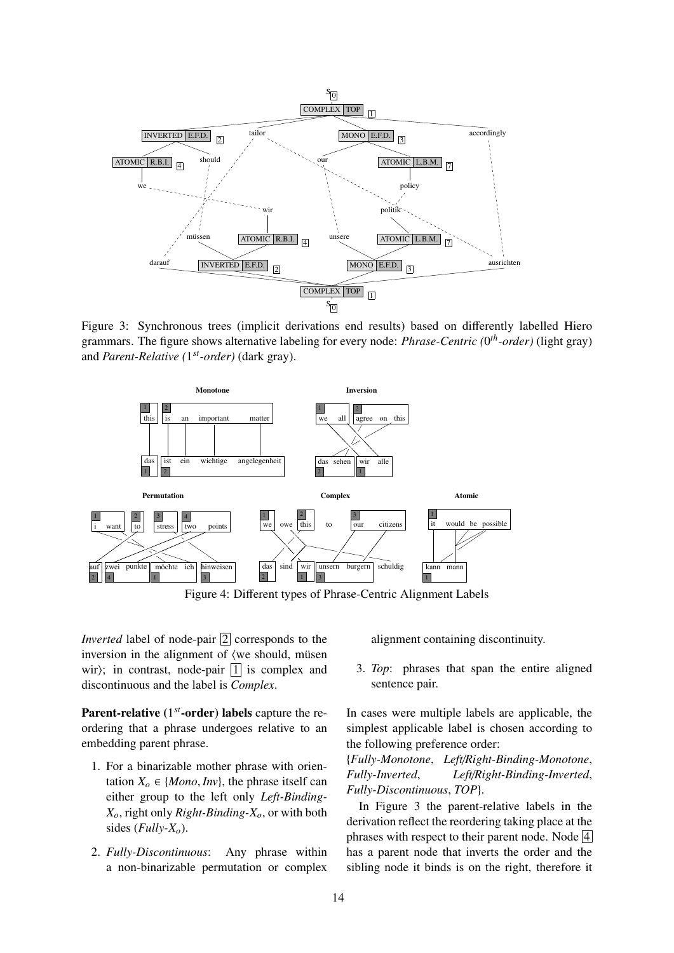

Figure 3: Synchronous trees (implicit derivations end results) based on differently labelled Hiero grammars. The figure shows alternative labeling for every node: *Phrase-Centric (*0 *th-order)* (light gray) and *Parent-Relative (*1 *st-order)* (dark gray).



Figure 4: Different types of Phrase-Centric Alignment Labels

*Inverted* label of node-pair  $\boxed{2}$  corresponds to the inversion in the alignment of  $\langle$  we should, müsen wir); in contrast, node-pair  $|1|$  is complex and discontinuous and the label is *Complex*.

Parent-relative (1<sup>st</sup>-order) labels capture the reordering that a phrase undergoes relative to an embedding parent phrase.

- 1. For a binarizable mother phrase with orientation  $X_o \in \{Mono, Inv\}$ , the phrase itself can either group to the left only *Left-Binding-Xo*, right only *Right-Binding-Xo*, or with both sides (*Fully-Xo*).
- 2. *Fully-Discontinuous*: Any phrase within a non-binarizable permutation or complex

alignment containing discontinuity.

3. *Top*: phrases that span the entire aligned sentence pair.

In cases were multiple labels are applicable, the simplest applicable label is chosen according to the following preference order:

{*Fully-Monotone*, *Left*/*Right-Binding-Monotone*, *Fully-Inverted*, *Left*/*Right-Binding-Inverted*, *Fully-Discontinuous*, *TOP*}.

In Figure 3 the parent-relative labels in the derivation reflect the reordering taking place at the phrases with respect to their parent node. Node  $\overline{4}$ has a parent node that inverts the order and the sibling node it binds is on the right, therefore it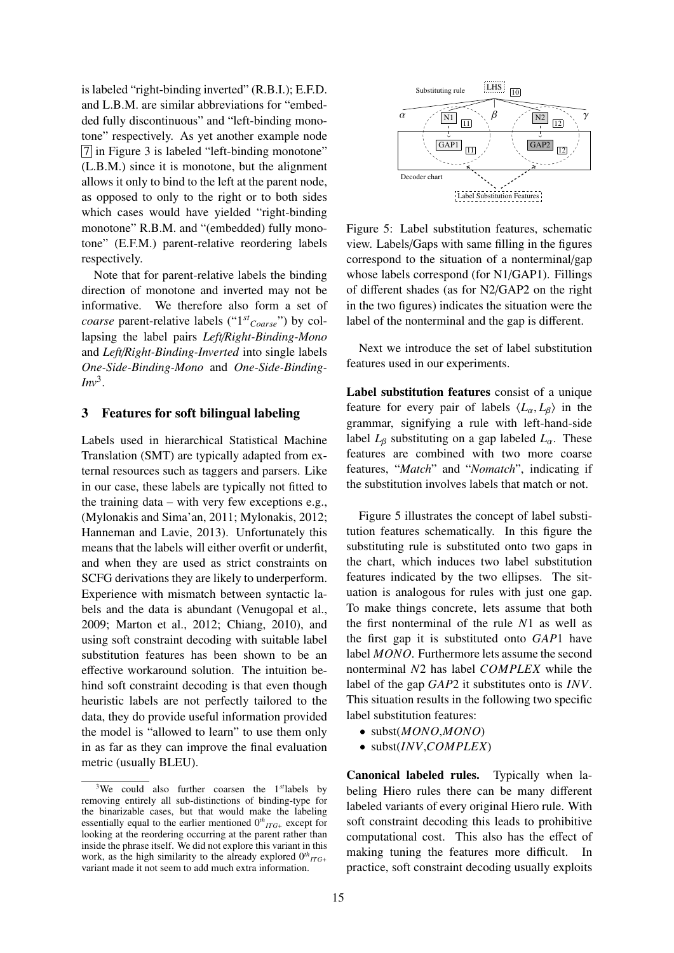is labeled "right-binding inverted" (R.B.I.); E.F.D. and L.B.M. are similar abbreviations for "embedded fully discontinuous" and "left-binding monotone" respectively. As yet another example node 7 in Figure 3 is labeled "left-binding monotone" (L.B.M.) since it is monotone, but the alignment allows it only to bind to the left at the parent node, as opposed to only to the right or to both sides which cases would have yielded "right-binding" monotone" R.B.M. and "(embedded) fully monotone" (E.F.M.) parent-relative reordering labels respectively.

Note that for parent-relative labels the binding direction of monotone and inverted may not be informative. We therefore also form a set of *coarse* parent-relative labels ("1*st Coarse*") by collapsing the label pairs *Left*/*Right-Binding-Mono* and *Left*/*Right-Binding-Inverted* into single labels *One-Side-Binding-Mono* and *One-Side-Binding-* $Inv<sup>3</sup>$ .

#### 3 Features for soft bilingual labeling

Labels used in hierarchical Statistical Machine Translation (SMT) are typically adapted from external resources such as taggers and parsers. Like in our case, these labels are typically not fitted to the training data – with very few exceptions e.g., (Mylonakis and Sima'an, 2011; Mylonakis, 2012; Hanneman and Lavie, 2013). Unfortunately this means that the labels will either overfit or underfit, and when they are used as strict constraints on SCFG derivations they are likely to underperform. Experience with mismatch between syntactic labels and the data is abundant (Venugopal et al., 2009; Marton et al., 2012; Chiang, 2010), and using soft constraint decoding with suitable label substitution features has been shown to be an effective workaround solution. The intuition behind soft constraint decoding is that even though heuristic labels are not perfectly tailored to the data, they do provide useful information provided the model is "allowed to learn" to use them only in as far as they can improve the final evaluation metric (usually BLEU).



Figure 5: Label substitution features, schematic view. Labels/Gaps with same filling in the figures correspond to the situation of a nonterminal/gap whose labels correspond (for N1/GAP1). Fillings of different shades (as for N2/GAP2 on the right in the two figures) indicates the situation were the label of the nonterminal and the gap is different.

Next we introduce the set of label substitution features used in our experiments.

Label substitution features consist of a unique feature for every pair of labels  $\langle L_{\alpha}, L_{\beta} \rangle$  in the grammar, signifying a rule with left-hand-side label  $L_\beta$  substituting on a gap labeled  $L_\alpha$ . These features are combined with two more coarse features, "*Match*" and "*Nomatch*", indicating if the substitution involves labels that match or not.

Figure 5 illustrates the concept of label substitution features schematically. In this figure the substituting rule is substituted onto two gaps in the chart, which induces two label substitution features indicated by the two ellipses. The situation is analogous for rules with just one gap. To make things concrete, lets assume that both the first nonterminal of the rule *N*1 as well as the first gap it is substituted onto *GAP*1 have label *MONO*. Furthermore lets assume the second nonterminal *N*2 has label *COMPLEX* while the label of the gap *GAP*2 it substitutes onto is *INV*. This situation results in the following two specific label substitution features:

- subst(*MONO*,*MONO*)
- subst(*INV*,*COMPLEX*)

Canonical labeled rules. Typically when labeling Hiero rules there can be many different labeled variants of every original Hiero rule. With soft constraint decoding this leads to prohibitive computational cost. This also has the effect of making tuning the features more difficult. In practice, soft constraint decoding usually exploits

<sup>3</sup>We could also further coarsen the 1*st*labels by removing entirely all sub-distinctions of binding-type for the binarizable cases, but that would make the labeling essentially equal to the earlier mentioned  $0<sup>th</sup>_{ITG+}$  except for looking at the reordering occurring at the parent rather than inside the phrase itself. We did not explore this variant in this work, as the high similarity to the already explored  $0^{th}$ <sub>ITG+</sub> variant made it not seem to add much extra information.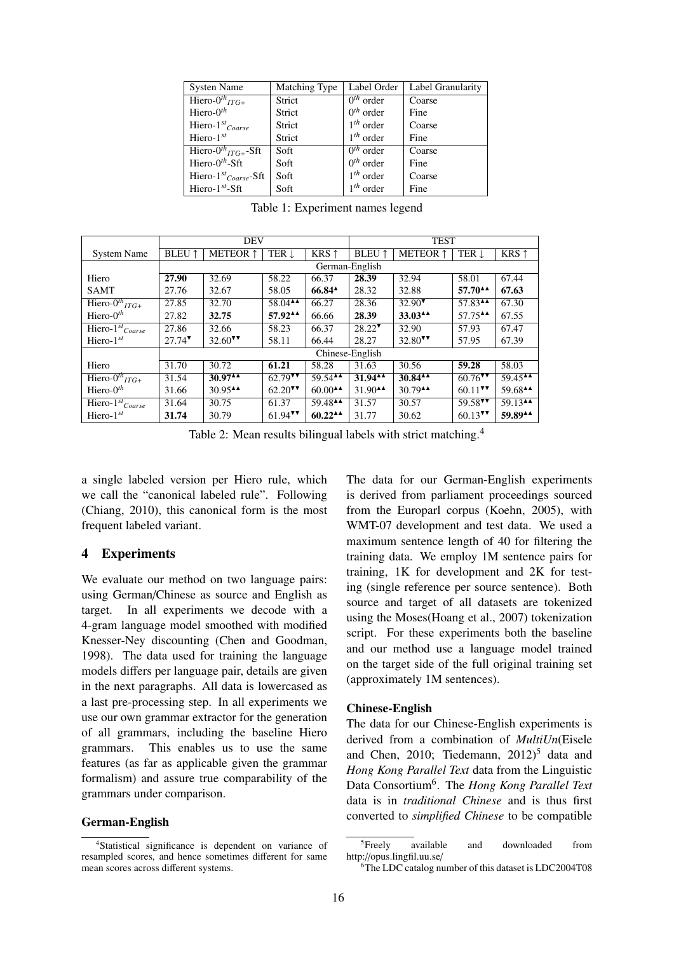| <b>Systen Name</b>                   | Matching Type | Label Order               | Label Granularity |
|--------------------------------------|---------------|---------------------------|-------------------|
| Hiero- $0^{th}$ <sub>ITG+</sub>      | Strict        | $\overline{0^{th}}$ order | Coarse            |
| Hiero- $0^{th}$                      | Strict        | $0th$ order               | Fine              |
| Hiero- $1^{st}$ Coarse               | Strict        | $1th$ order               | Coarse            |
| Hiero- $1^{st}$                      | Strict        | $1th$ order               | Fine              |
| Hiero- $0^{th}$ <sub>ITG+</sub> -Sft | Soft          | $0th$ order               | Coarse            |
| Hiero- $0th$ -Sft                    | Soft          | $0th$ order               | Fine              |
| Hiero- $1^{st}$ Coarse-Sft           | Soft          | $1th$ order               | Coarse            |
| Hiero- $1^{st}$ -Sft                 | Soft          | $1th$ order               | Fine              |

Table 1: Experiment names legend

|                                 | <b>DEV</b>           |                       |                                           | <b>TEST</b>                               |                                           |                                           |                                         |                                           |
|---------------------------------|----------------------|-----------------------|-------------------------------------------|-------------------------------------------|-------------------------------------------|-------------------------------------------|-----------------------------------------|-------------------------------------------|
| <b>System Name</b>              | <b>BLEU</b> 1        | <b>METEOR</b> 1       | TER 1                                     | KRS $\uparrow$                            | <b>BLEU</b> 1                             | <b>METEOR</b> 1                           | TER 1                                   | KRS $\uparrow$                            |
|                                 | German-English       |                       |                                           |                                           |                                           |                                           |                                         |                                           |
| Hiero                           | 27.90                | 32.69                 | 58.22                                     | 66.37                                     | 28.39                                     | 32.94                                     | 58.01                                   | 67.44                                     |
| <b>SAMT</b>                     | 27.76                | 32.67                 | 58.05                                     | $66.84$ <sup><math>\triangle</math></sup> | 28.32                                     | 32.88                                     | 57.70 <sup><math>\triangle</math></sup> | 67.63                                     |
| Hiero- $0^{th}$ <sub>ITG+</sub> | 27.85                | 32.70                 | $58.04$ <sup><math>\triangle</math></sup> | 66.27                                     | 28.36                                     | $32.90$ <sup><math>\text{V}</math></sup>  | 57.83 <sup>44</sup>                     | 67.30                                     |
| Hiero- $0th$                    | 27.82                | 32.75                 | 57.92^^                                   | 66.66                                     | 28.39                                     | 33.03 <sup>44</sup>                       | 57.75 <sup>44</sup>                     | 67.55                                     |
| Hiero- $1^{st}$ Coarse          | 27.86                | 32.66                 | 58.23                                     | 66.37                                     | $28.22$ <sup>V</sup>                      | 32.90                                     | 57.93                                   | 67.47                                     |
| Hiero- $1^{st}$                 | $27.74$ <sup>*</sup> | $32.60$ <sup>VV</sup> | 58.11                                     | 66.44                                     | 28.27                                     | 32.80 $\text{V}$                          | 57.95                                   | 67.39                                     |
|                                 | Chinese-English      |                       |                                           |                                           |                                           |                                           |                                         |                                           |
| Hiero                           | 31.70                | 30.72                 | 61.21                                     | 58.28                                     | 31.63                                     | 30.56                                     | 59.28                                   | 58.03                                     |
| Hiero- $0^{th}$ <sub>ITG+</sub> | 31.54                | $30.97$ <sup>AA</sup> | $62.79$ <sup>VV</sup>                     | 59.54 $\triangle$                         | $31.94$ <sup><math>\triangle</math></sup> | $30.84$ <sup><math>\triangle</math></sup> | $60.76$ <sup>V</sup>                    | $59.45^{\text{AA}}$                       |
| Hiero- $0th$                    | 31.66                | $30.95$ <sup>AA</sup> | $62.20$ <sup>VV</sup>                     | $60.00$ <sup><math>\triangle</math></sup> | $31.90$ <sup>AA</sup>                     | $30.79$ <sup><math>\triangle</math></sup> | $60.11$ <sup>VV</sup>                   | 59.68 <sup>44</sup>                       |
| Hiero- $1^{st}$ Coarse          | 31.64                | 30.75                 | 61.37                                     | 59.48 <sup>44</sup>                       | 31.57                                     | 30.57                                     | $59.58$ <sup>VV</sup>                   | $59.13$ <sup><math>\triangle</math></sup> |
| Hiero- $1^{st}$                 | 31.74                | 30.79                 | $61.94$ <sup>V</sup>                      | $60.22$ <sup><math>\triangle</math></sup> | 31.77                                     | 30.62                                     | $60.13$ <sup>V</sup>                    | 59.8944                                   |

Table 2: Mean results bilingual labels with strict matching.<sup>4</sup>

a single labeled version per Hiero rule, which we call the "canonical labeled rule". Following (Chiang, 2010), this canonical form is the most frequent labeled variant.

# 4 Experiments

We evaluate our method on two language pairs: using German/Chinese as source and English as target. In all experiments we decode with a 4-gram language model smoothed with modified Knesser-Ney discounting (Chen and Goodman, 1998). The data used for training the language models differs per language pair, details are given in the next paragraphs. All data is lowercased as a last pre-processing step. In all experiments we use our own grammar extractor for the generation of all grammars, including the baseline Hiero grammars. This enables us to use the same features (as far as applicable given the grammar formalism) and assure true comparability of the grammars under comparison.

## German-English

The data for our German-English experiments is derived from parliament proceedings sourced from the Europarl corpus (Koehn, 2005), with WMT-07 development and test data. We used a maximum sentence length of 40 for filtering the training data. We employ 1M sentence pairs for training, 1K for development and 2K for testing (single reference per source sentence). Both source and target of all datasets are tokenized using the Moses(Hoang et al., 2007) tokenization script. For these experiments both the baseline and our method use a language model trained on the target side of the full original training set (approximately 1M sentences).

#### Chinese-English

The data for our Chinese-English experiments is derived from a combination of *MultiUn*(Eisele and Chen, 2010; Tiedemann,  $2012$ <sup>5</sup> data and *Hong Kong Parallel Text* data from the Linguistic Data Consortium<sup>6</sup> . The *Hong Kong Parallel Text* data is in *traditional Chinese* and is thus first converted to *simplified Chinese* to be compatible

<sup>4</sup>Statistical significance is dependent on variance of resampled scores, and hence sometimes different for same mean scores across different systems.

<sup>&</sup>lt;sup>5</sup>Freely available and downloaded from http://opus.lingfil.uu.se/

<sup>6</sup>The LDC catalog number of this dataset is LDC2004T08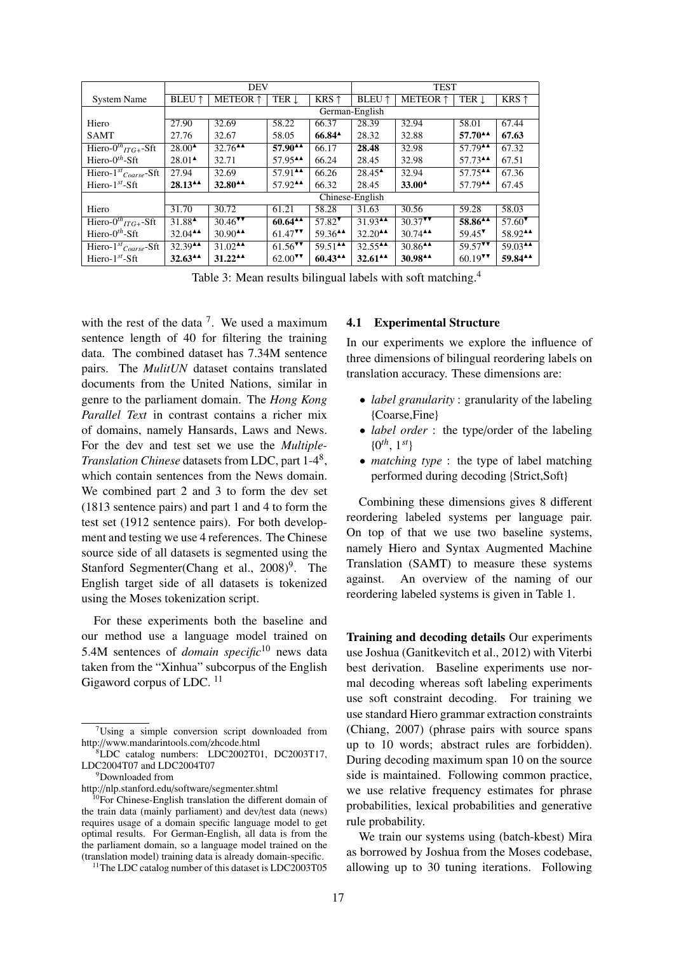|                                      | <b>DEV</b>                                |                                              |                                           | <b>TEST</b>           |                                           |                                           |                       |                       |
|--------------------------------------|-------------------------------------------|----------------------------------------------|-------------------------------------------|-----------------------|-------------------------------------------|-------------------------------------------|-----------------------|-----------------------|
| <b>System Name</b>                   | <b>BLEU</b> 1                             | <b>METEOR</b> 1                              | TER J                                     | KRS $\uparrow$        | <b>BLEU</b> 1                             | <b>METEOR</b> 1                           | TER L                 | KRS $\uparrow$        |
|                                      | German-English                            |                                              |                                           |                       |                                           |                                           |                       |                       |
| Hiero                                | 27.90                                     | 32.69                                        | 58.22                                     | 66.37                 | 28.39                                     | 32.94                                     | 58.01                 | 67.44                 |
| <b>SAMT</b>                          | 27.76                                     | 32.67                                        | 58.05                                     | $66.84^{\AA}$         | 28.32                                     | 32.88                                     | $57.70^{44}$          | 67.63                 |
| Hiero- $0^{th}$ <sub>ITG+</sub> -Sft | $28.00^{\text{A}}$                        | $32.76$ <sup>44</sup>                        | 57.90^^                                   | 66.17                 | 28.48                                     | 32.98                                     | 57.79 <sup>44</sup>   | 67.32                 |
| Hiero- $0^{th}$ -Sft                 | $28.01^{\textstyle \triangle}$            | 32.71                                        | 57.95 <sup>44</sup>                       | 66.24                 | 28.45                                     | 32.98                                     | $57.73$ <sup>44</sup> | 67.51                 |
| Hiero- $1^{st}$ Coarse-Sft           | 27.94                                     | 32.69                                        | $57.91$ <sup><math>\triangle</math></sup> | 66.26                 | $28.45^{\text{A}}$                        | 32.94                                     | $57.75$ <sup>AA</sup> | 67.36                 |
| Hiero- $1^{st}$ -Sft                 | $28.13^{\text{AA}}$                       | $32.80^{44}$                                 | $57.92$ <sup>AA</sup>                     | 66.32                 | 28.45                                     | $33.00^{\circ}$                           | $57.79$ <sup>44</sup> | 67.45                 |
|                                      | Chinese-English                           |                                              |                                           |                       |                                           |                                           |                       |                       |
| Hiero                                | 31.70                                     | 30.72                                        | 61.21                                     | 58.28                 | 31.63                                     | 30.56                                     | 59.28                 | 58.03                 |
| Hiero- $0^{th}$ <sub>ITG+</sub> -Sft | 31.88 <sup><math>\triangle</math></sup>   | $30.46$ <sup>VV</sup>                        | $60.64$ <sup>AA</sup>                     | $57.82$ <sup>*</sup>  | $31.93$ <sup>AA</sup>                     | $30.37$ <sup>V</sup>                      | 58.86 <sup>44</sup>   | $57.60$ <sup>V</sup>  |
| Hiero- $0th$ -Sft                    | $32.04$ <sup><math>\triangle</math></sup> | $30.90^{\text{AA}}$                          | $61.47$ <sup>V</sup>                      | 59.36 <sup>44</sup>   | $32.20$ <sup><math>\triangle</math></sup> | $30.74$ <sup>A</sup>                      | $59.45$ <sup>V</sup>  | 58.92^^               |
| Hiero- $1^{st}$ Coarse-Sft           | 32.39 <sup>44</sup>                       | $31.02$ <sup><math>\overline{)}</math></sup> | $61.56$ <sup>VV</sup>                     | $59.51$ <sup>44</sup> | 32.55 <sup><math>\triangle</math></sup>   | $30.86$ <sup><math>\triangle</math></sup> | $59.57$ <sup>V</sup>  | $59.03$ <sup>44</sup> |
| Hiero- $1^{st}$ -Sft                 | $32.63$ <sup>44</sup>                     | $31.22$ <sup>A</sup>                         | $62.00$ <sup>VV</sup>                     | $60.43^{\text{AA}}$   | $32.61$ <sup><math>\triangle</math></sup> | 30.9844                                   | $60.19$ <sup>V</sup>  | 59.8444               |

Table 3: Mean results bilingual labels with soft matching.<sup>4</sup>

with the rest of the data  $<sup>7</sup>$ . We used a maximum</sup> sentence length of 40 for filtering the training data. The combined dataset has 7.34M sentence pairs. The *MulitUN* dataset contains translated documents from the United Nations, similar in genre to the parliament domain. The *Hong Kong Parallel Text* in contrast contains a richer mix of domains, namely Hansards, Laws and News. For the dev and test set we use the *Multiple-Translation Chinese* datasets from LDC, part 1-4<sup>8</sup> , which contain sentences from the News domain. We combined part 2 and 3 to form the dev set (1813 sentence pairs) and part 1 and 4 to form the test set (1912 sentence pairs). For both development and testing we use 4 references. The Chinese source side of all datasets is segmented using the Stanford Segmenter(Chang et al.,  $2008$ )<sup>9</sup>. The English target side of all datasets is tokenized using the Moses tokenization script.

For these experiments both the baseline and our method use a language model trained on 5.4M sentences of *domain specific*<sup>10</sup> news data taken from the "Xinhua" subcorpus of the English Gigaword corpus of LDC.<sup>11</sup>

<sup>9</sup>Downloaded from http://nlp.stanford.edu/software/segmenter.shtml

#### 4.1 Experimental Structure

In our experiments we explore the influence of three dimensions of bilingual reordering labels on translation accuracy. These dimensions are:

- *label granularity* : granularity of the labeling {Coarse,Fine}
- *label order* : the type/order of the labeling {0 *th*, 1*st*}
- *matching type* : the type of label matching performed during decoding {Strict,Soft}

Combining these dimensions gives 8 different reordering labeled systems per language pair. On top of that we use two baseline systems, namely Hiero and Syntax Augmented Machine Translation (SAMT) to measure these systems against. An overview of the naming of our reordering labeled systems is given in Table 1.

Training and decoding details Our experiments use Joshua (Ganitkevitch et al., 2012) with Viterbi best derivation. Baseline experiments use normal decoding whereas soft labeling experiments use soft constraint decoding. For training we use standard Hiero grammar extraction constraints (Chiang, 2007) (phrase pairs with source spans up to 10 words; abstract rules are forbidden). During decoding maximum span 10 on the source side is maintained. Following common practice, we use relative frequency estimates for phrase probabilities, lexical probabilities and generative rule probability.

We train our systems using (batch-kbest) Mira as borrowed by Joshua from the Moses codebase, allowing up to 30 tuning iterations. Following

 $7$ Using a simple conversion script downloaded from http://www.mandarintools.com/zhcode.html

<sup>8</sup>LDC catalog numbers: LDC2002T01, DC2003T17, LDC2004T07 and LDC2004T07

<sup>&</sup>lt;sup>10</sup>For Chinese-English translation the different domain of the train data (mainly parliament) and dev/test data (news) requires usage of a domain specific language model to get optimal results. For German-English, all data is from the the parliament domain, so a language model trained on the (translation model) training data is already domain-specific.

<sup>&</sup>lt;sup>11</sup>The LDC catalog number of this dataset is LDC2003T05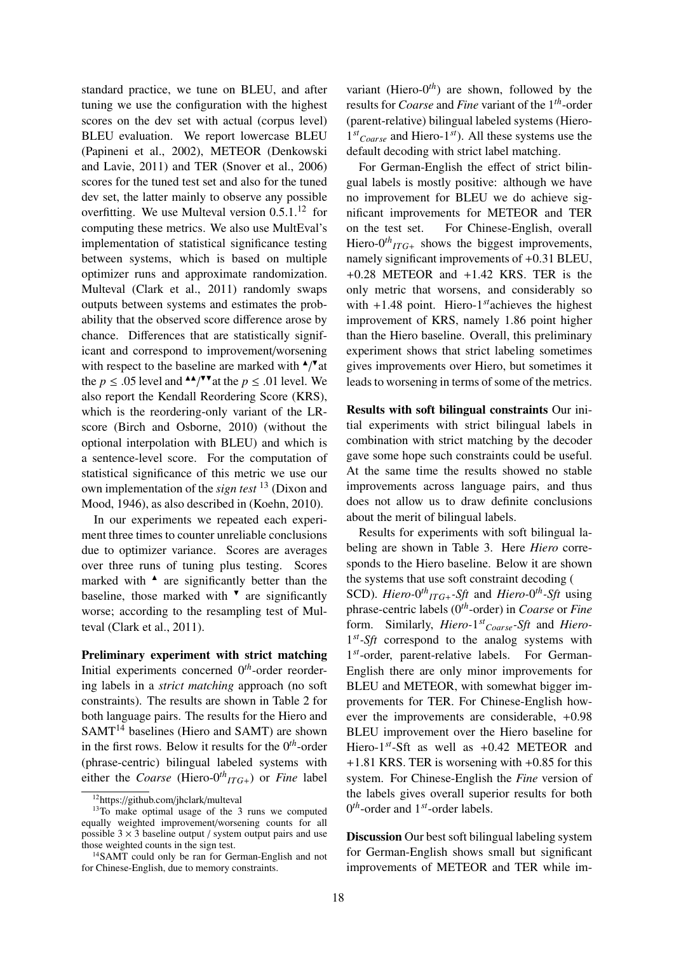standard practice, we tune on BLEU, and after tuning we use the configuration with the highest scores on the dev set with actual (corpus level) BLEU evaluation. We report lowercase BLEU (Papineni et al., 2002), METEOR (Denkowski and Lavie, 2011) and TER (Snover et al., 2006) scores for the tuned test set and also for the tuned dev set, the latter mainly to observe any possible overfitting. We use Multeval version  $0.5.1<sup>12</sup>$  for computing these metrics. We also use MultEval's implementation of statistical significance testing between systems, which is based on multiple optimizer runs and approximate randomization. Multeval (Clark et al., 2011) randomly swaps outputs between systems and estimates the probability that the observed score difference arose by chance. Differences that are statistically significant and correspond to improvement/worsening with respect to the baseline are marked with  $\triangle$ / $\triangle$ at the  $p \leq 0.05$  level and  $\triangle^*/\blacktriangledown$  at the  $p \leq 0.01$  level. We also report the Kendall Reordering Score (KRS), which is the reordering-only variant of the LRscore (Birch and Osborne, 2010) (without the optional interpolation with BLEU) and which is a sentence-level score. For the computation of statistical significance of this metric we use our own implementation of the *sign test* <sup>13</sup> (Dixon and Mood, 1946), as also described in (Koehn, 2010).

In our experiments we repeated each experiment three times to counter unreliable conclusions due to optimizer variance. Scores are averages over three runs of tuning plus testing. Scores marked with  $\triangle$  are significantly better than the baseline, those marked with  $\mathbf{v}$  are significantly worse; according to the resampling test of Multeval (Clark et al., 2011).

Preliminary experiment with strict matching Initial experiments concerned 0*th*-order reordering labels in a *strict matching* approach (no soft constraints). The results are shown in Table 2 for both language pairs. The results for the Hiero and  $SAMT<sup>14</sup>$  baselines (Hiero and SAMT) are shown in the first rows. Below it results for the  $0<sup>th</sup>$ -order (phrase-centric) bilingual labeled systems with either the *Coarse* (Hiero- $0^{th}$ <sub>*ITG*+</sub>) or *Fine* label

variant (Hiero- $0<sup>th</sup>$ ) are shown, followed by the results for *Coarse* and *Fine* variant of the 1*th*-order (parent-relative) bilingual labeled systems (Hiero-1 *st Coarse* and Hiero-1*st*). All these systems use the default decoding with strict label matching.

For German-English the effect of strict bilingual labels is mostly positive: although we have no improvement for BLEU we do achieve significant improvements for METEOR and TER on the test set. For Chinese-English, overall Hiero- $0^{th}$ <sub>*ITG*+</sub> shows the biggest improvements, namely significant improvements of +0.31 BLEU, +0.28 METEOR and +1.42 KRS. TER is the only metric that worsens, and considerably so with +1.48 point. Hiero-1*st*achieves the highest improvement of KRS, namely 1.86 point higher than the Hiero baseline. Overall, this preliminary experiment shows that strict labeling sometimes gives improvements over Hiero, but sometimes it leads to worsening in terms of some of the metrics.

Results with soft bilingual constraints Our initial experiments with strict bilingual labels in combination with strict matching by the decoder gave some hope such constraints could be useful. At the same time the results showed no stable improvements across language pairs, and thus does not allow us to draw definite conclusions about the merit of bilingual labels.

Results for experiments with soft bilingual labeling are shown in Table 3. Here *Hiero* corresponds to the Hiero baseline. Below it are shown the systems that use soft constraint decoding ( SCD). *Hiero-* $0^{th}$ <sub>*ITG*+</sub>-Sft and *Hiero-* $0^{th}$ -Sft using phrase-centric labels (0*th*-order) in *Coarse* or *Fine* form. Similarly, *Hiero-*1 *st Coarse-Sft* and *Hiero-*1<sup>st</sup>-Sft correspond to the analog systems with 1 *st*-order, parent-relative labels. For German-English there are only minor improvements for BLEU and METEOR, with somewhat bigger improvements for TER. For Chinese-English however the improvements are considerable, +0.98 BLEU improvement over the Hiero baseline for Hiero-1*st*-Sft as well as +0.42 METEOR and +1.81 KRS. TER is worsening with +0.85 for this system. For Chinese-English the *Fine* version of the labels gives overall superior results for both 0 *th*-order and 1*st*-order labels.

Discussion Our best soft bilingual labeling system for German-English shows small but significant improvements of METEOR and TER while im-

<sup>12</sup>https://github.com/jhclark/multeval

<sup>&</sup>lt;sup>13</sup>To make optimal usage of the 3 runs we computed equally weighted improvement/worsening counts for all possible  $3 \times 3$  baseline output / system output pairs and use those weighted counts in the sign test.

<sup>14</sup>SAMT could only be ran for German-English and not for Chinese-English, due to memory constraints.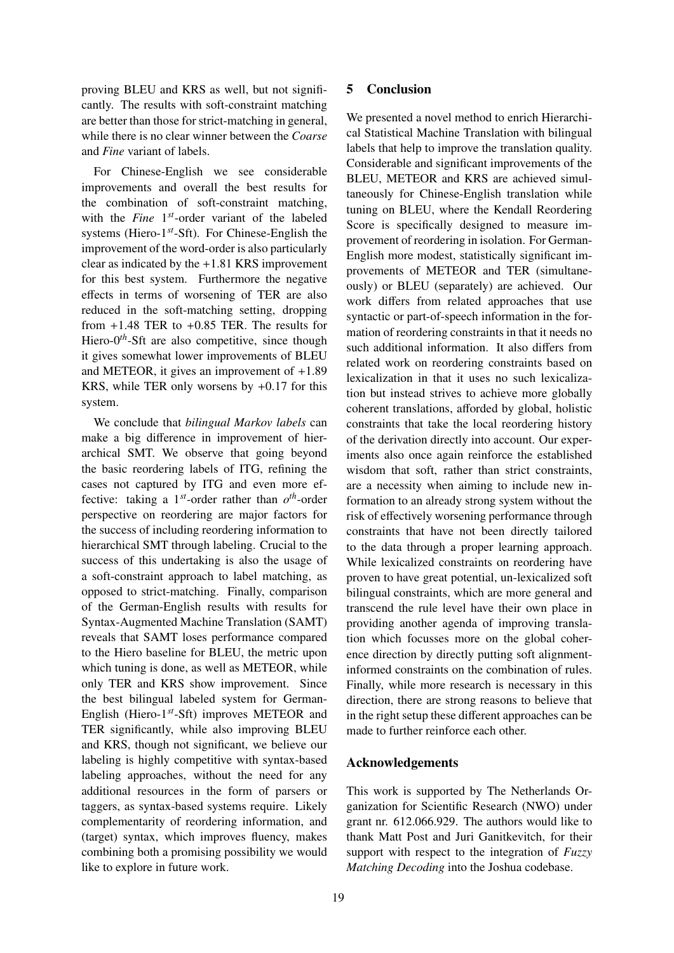proving BLEU and KRS as well, but not significantly. The results with soft-constraint matching are better than those for strict-matching in general, while there is no clear winner between the *Coarse* and *Fine* variant of labels.

For Chinese-English we see considerable improvements and overall the best results for the combination of soft-constraint matching, with the *Fine* 1 *st*-order variant of the labeled systems (Hiero-1*st*-Sft). For Chinese-English the improvement of the word-order is also particularly clear as indicated by the +1.81 KRS improvement for this best system. Furthermore the negative effects in terms of worsening of TER are also reduced in the soft-matching setting, dropping from  $+1.48$  TER to  $+0.85$  TER. The results for Hiero-0<sup>th</sup>-Sft are also competitive, since though it gives somewhat lower improvements of BLEU and METEOR, it gives an improvement of +1.89 KRS, while TER only worsens by +0.17 for this system.

We conclude that *bilingual Markov labels* can make a big difference in improvement of hierarchical SMT. We observe that going beyond the basic reordering labels of ITG, refining the cases not captured by ITG and even more effective: taking a  $1^{st}$ -order rather than  $o^{th}$ -order perspective on reordering are major factors for the success of including reordering information to hierarchical SMT through labeling. Crucial to the success of this undertaking is also the usage of a soft-constraint approach to label matching, as opposed to strict-matching. Finally, comparison of the German-English results with results for Syntax-Augmented Machine Translation (SAMT) reveals that SAMT loses performance compared to the Hiero baseline for BLEU, the metric upon which tuning is done, as well as METEOR, while only TER and KRS show improvement. Since the best bilingual labeled system for German-English (Hiero-1*st*-Sft) improves METEOR and TER significantly, while also improving BLEU and KRS, though not significant, we believe our labeling is highly competitive with syntax-based labeling approaches, without the need for any additional resources in the form of parsers or taggers, as syntax-based systems require. Likely complementarity of reordering information, and (target) syntax, which improves fluency, makes combining both a promising possibility we would like to explore in future work.

# 5 Conclusion

We presented a novel method to enrich Hierarchical Statistical Machine Translation with bilingual labels that help to improve the translation quality. Considerable and significant improvements of the BLEU, METEOR and KRS are achieved simultaneously for Chinese-English translation while tuning on BLEU, where the Kendall Reordering Score is specifically designed to measure improvement of reordering in isolation. For German-English more modest, statistically significant improvements of METEOR and TER (simultaneously) or BLEU (separately) are achieved. Our work differs from related approaches that use syntactic or part-of-speech information in the formation of reordering constraints in that it needs no such additional information. It also differs from related work on reordering constraints based on lexicalization in that it uses no such lexicalization but instead strives to achieve more globally coherent translations, afforded by global, holistic constraints that take the local reordering history of the derivation directly into account. Our experiments also once again reinforce the established wisdom that soft, rather than strict constraints, are a necessity when aiming to include new information to an already strong system without the risk of effectively worsening performance through constraints that have not been directly tailored to the data through a proper learning approach. While lexicalized constraints on reordering have proven to have great potential, un-lexicalized soft bilingual constraints, which are more general and transcend the rule level have their own place in providing another agenda of improving translation which focusses more on the global coherence direction by directly putting soft alignmentinformed constraints on the combination of rules. Finally, while more research is necessary in this direction, there are strong reasons to believe that in the right setup these different approaches can be made to further reinforce each other.

## Acknowledgements

This work is supported by The Netherlands Organization for Scientific Research (NWO) under grant nr. 612.066.929. The authors would like to thank Matt Post and Juri Ganitkevitch, for their support with respect to the integration of *Fuzzy Matching Decoding* into the Joshua codebase.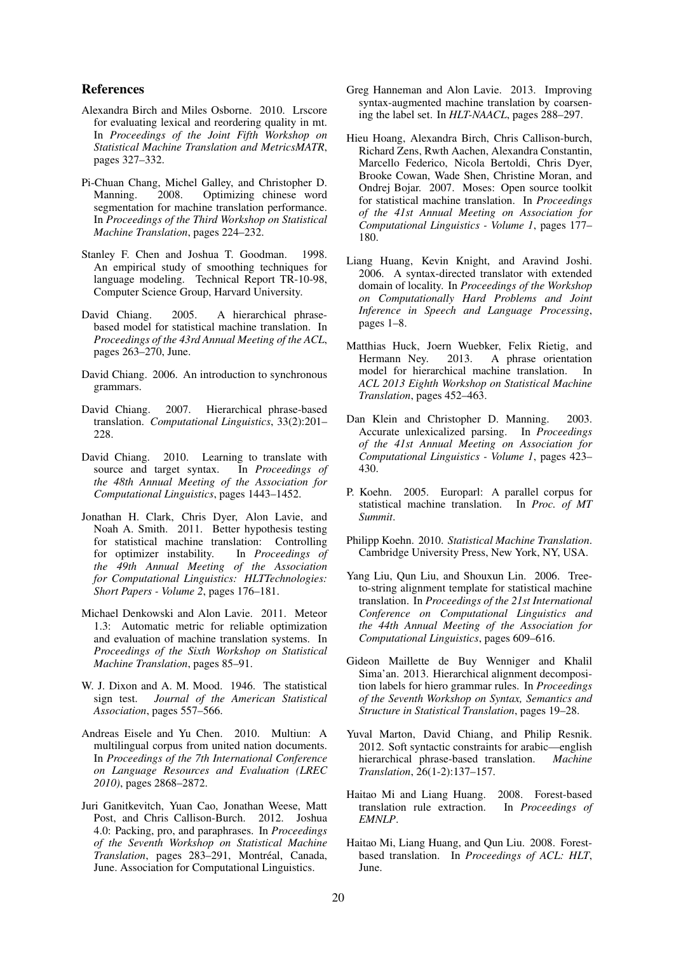# References

- Alexandra Birch and Miles Osborne. 2010. Lrscore for evaluating lexical and reordering quality in mt. In *Proceedings of the Joint Fifth Workshop on Statistical Machine Translation and MetricsMATR*, pages 327–332.
- Pi-Chuan Chang, Michel Galley, and Christopher D. Manning. 2008. Optimizing chinese word segmentation for machine translation performance. In *Proceedings of the Third Workshop on Statistical Machine Translation*, pages 224–232.
- Stanley F. Chen and Joshua T. Goodman. 1998. An empirical study of smoothing techniques for language modeling. Technical Report TR-10-98, Computer Science Group, Harvard University.
- David Chiang. 2005. A hierarchical phrasebased model for statistical machine translation. In *Proceedings of the 43rd Annual Meeting of the ACL*, pages 263–270, June.
- David Chiang. 2006. An introduction to synchronous grammars.
- David Chiang. 2007. Hierarchical phrase-based translation. *Computational Linguistics*, 33(2):201– 228.
- David Chiang. 2010. Learning to translate with source and target syntax. In *Proceedings of the 48th Annual Meeting of the Association for Computational Linguistics*, pages 1443–1452.
- Jonathan H. Clark, Chris Dyer, Alon Lavie, and Noah A. Smith. 2011. Better hypothesis testing for statistical machine translation: Controlling<br>for optimizer instability. In *Proceedings of* for optimizer instability. *the 49th Annual Meeting of the Association for Computational Linguistics: HLTTechnologies: Short Papers - Volume 2*, pages 176–181.
- Michael Denkowski and Alon Lavie. 2011. Meteor 1.3: Automatic metric for reliable optimization and evaluation of machine translation systems. In *Proceedings of the Sixth Workshop on Statistical Machine Translation*, pages 85–91.
- W. J. Dixon and A. M. Mood. 1946. The statistical sign test. *Journal of the American Statistical Association*, pages 557–566.
- Andreas Eisele and Yu Chen. 2010. Multiun: A multilingual corpus from united nation documents. In *Proceedings of the 7th International Conference on Language Resources and Evaluation (LREC 2010)*, pages 2868–2872.
- Juri Ganitkevitch, Yuan Cao, Jonathan Weese, Matt Post, and Chris Callison-Burch. 2012. Joshua 4.0: Packing, pro, and paraphrases. In *Proceedings of the Seventh Workshop on Statistical Machine Translation*, pages 283-291, Montréal, Canada, June. Association for Computational Linguistics.
- Greg Hanneman and Alon Lavie. 2013. Improving syntax-augmented machine translation by coarsening the label set. In *HLT-NAACL*, pages 288–297.
- Hieu Hoang, Alexandra Birch, Chris Callison-burch, Richard Zens, Rwth Aachen, Alexandra Constantin, Marcello Federico, Nicola Bertoldi, Chris Dyer, Brooke Cowan, Wade Shen, Christine Moran, and Ondrej Bojar. 2007. Moses: Open source toolkit for statistical machine translation. In *Proceedings of the 41st Annual Meeting on Association for Computational Linguistics - Volume 1*, pages 177– 180.
- Liang Huang, Kevin Knight, and Aravind Joshi. 2006. A syntax-directed translator with extended domain of locality. In *Proceedings of the Workshop on Computationally Hard Problems and Joint Inference in Speech and Language Processing*, pages 1–8.
- Matthias Huck, Joern Wuebker, Felix Rietig, and Hermann Ney. 2013. A phrase orientation model for hierarchical machine translation. In *ACL 2013 Eighth Workshop on Statistical Machine Translation*, pages 452–463.
- Dan Klein and Christopher D. Manning. 2003. Accurate unlexicalized parsing. In *Proceedings of the 41st Annual Meeting on Association for Computational Linguistics - Volume 1*, pages 423– 430.
- P. Koehn. 2005. Europarl: A parallel corpus for statistical machine translation. In *Proc. of MT Summit*.
- Philipp Koehn. 2010. *Statistical Machine Translation*. Cambridge University Press, New York, NY, USA.
- Yang Liu, Qun Liu, and Shouxun Lin. 2006. Treeto-string alignment template for statistical machine translation. In *Proceedings of the 21st International Conference on Computational Linguistics and the 44th Annual Meeting of the Association for Computational Linguistics*, pages 609–616.
- Gideon Maillette de Buy Wenniger and Khalil Sima'an. 2013. Hierarchical alignment decomposition labels for hiero grammar rules. In *Proceedings of the Seventh Workshop on Syntax, Semantics and Structure in Statistical Translation*, pages 19–28.
- Yuval Marton, David Chiang, and Philip Resnik. 2012. Soft syntactic constraints for arabic—english hierarchical phrase-based translation. *Machine Translation*, 26(1-2):137–157.
- Haitao Mi and Liang Huang. 2008. Forest-based translation rule extraction. In *Proceedings of EMNLP*.
- Haitao Mi, Liang Huang, and Qun Liu. 2008. Forestbased translation. In *Proceedings of ACL: HLT*, June.